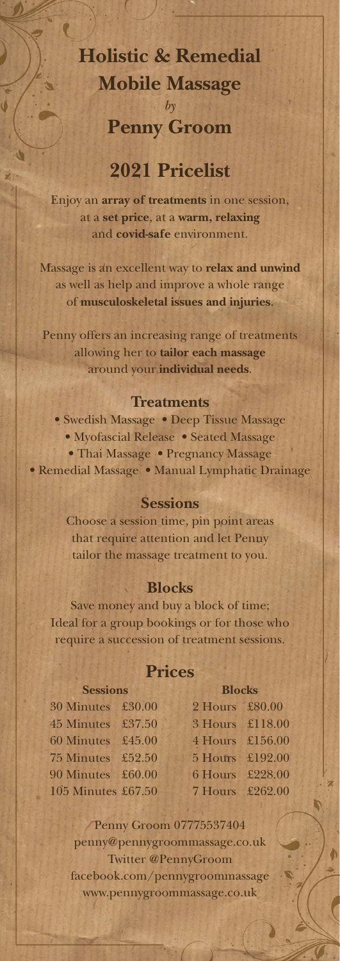### **Holistic & Remedial Mobile Massage** *by*

# **Penny Groom**

### **2021 Pricelist**

Enjoy an **array of treatments** in one session, at a **set price**, at a **warm, relaxing** and **covid-safe** environment.

Massage is an excellent way to **relax and unwind** as well as help and improve a whole range of **musculoskeletal issues and injuries**.

Penny offers an increasing range of treatments allowing her to **tailor each massage** around your **individual needs**.

#### **Treatments**

• Swedish Massage • Deep Tissue Massage • Myofascial Release • Seated Massage • Thai Massage • Pregnancy Massage • Remedial Massage • Manual Lymphatic Drainage

#### **Sessions**

Choose a session time, pin point areas that require attention and let Penny tailor the massage treatment to you.

#### **Blocks**

Save money and buy a block of time; Ideal for a group bookings or for those who require a succession of treatment sessions.

#### **Prices**

| <b>Sessions</b>    |  | <b>Blocks</b>   |  |
|--------------------|--|-----------------|--|
| 30 Minutes £30.00  |  | 2 Hours £80.00  |  |
| 45 Minutes £37.50  |  | 3 Hours £118.00 |  |
| 60 Minutes £45.00  |  | 4 Hours £156.00 |  |
| 75 Minutes £52.50  |  | 5 Hours £192.00 |  |
| 90 Minutes £60.00  |  | 6 Hours £228.00 |  |
| 105 Minutes £67.50 |  | 7 Hours £262.00 |  |

Penny Groom 07775537404 penny@pennygroommassage.co.uk Twitter @PennyGroom facebook.com/pennygroommassage www.pennygroommassage.co.uk

N